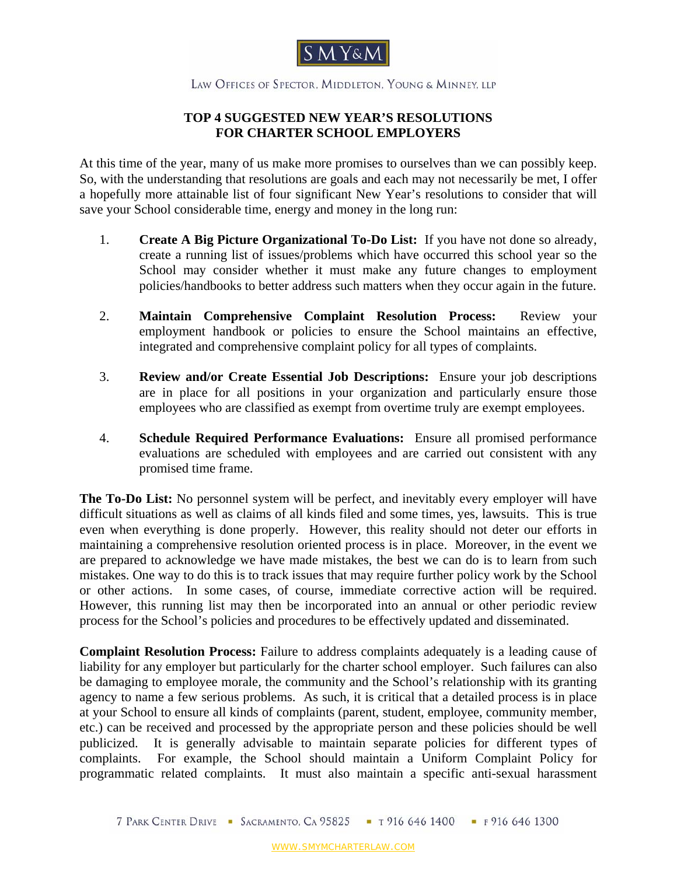

## LAW OFFICES OF SPECTOR, MIDDLETON, YOUNG & MINNEY, LLP

## **TOP 4 SUGGESTED NEW YEAR'S RESOLUTIONS FOR CHARTER SCHOOL EMPLOYERS**

At this time of the year, many of us make more promises to ourselves than we can possibly keep. So, with the understanding that resolutions are goals and each may not necessarily be met, I offer a hopefully more attainable list of four significant New Year's resolutions to consider that will save your School considerable time, energy and money in the long run:

- 1. **Create A Big Picture Organizational To-Do List:** If you have not done so already, create a running list of issues/problems which have occurred this school year so the School may consider whether it must make any future changes to employment policies/handbooks to better address such matters when they occur again in the future.
- 2. **Maintain Comprehensive Complaint Resolution Process:** Review your employment handbook or policies to ensure the School maintains an effective, integrated and comprehensive complaint policy for all types of complaints.
- 3. **Review and/or Create Essential Job Descriptions:** Ensure your job descriptions are in place for all positions in your organization and particularly ensure those employees who are classified as exempt from overtime truly are exempt employees.
- 4. **Schedule Required Performance Evaluations:** Ensure all promised performance evaluations are scheduled with employees and are carried out consistent with any promised time frame.

**The To-Do List:** No personnel system will be perfect, and inevitably every employer will have difficult situations as well as claims of all kinds filed and some times, yes, lawsuits. This is true even when everything is done properly. However, this reality should not deter our efforts in maintaining a comprehensive resolution oriented process is in place. Moreover, in the event we are prepared to acknowledge we have made mistakes, the best we can do is to learn from such mistakes. One way to do this is to track issues that may require further policy work by the School or other actions. In some cases, of course, immediate corrective action will be required. However, this running list may then be incorporated into an annual or other periodic review process for the School's policies and procedures to be effectively updated and disseminated.

**Complaint Resolution Process:** Failure to address complaints adequately is a leading cause of liability for any employer but particularly for the charter school employer. Such failures can also be damaging to employee morale, the community and the School's relationship with its granting agency to name a few serious problems. As such, it is critical that a detailed process is in place at your School to ensure all kinds of complaints (parent, student, employee, community member, etc.) can be received and processed by the appropriate person and these policies should be well publicized. It is generally advisable to maintain separate policies for different types of complaints. For example, the School should maintain a Uniform Complaint Policy for programmatic related complaints. It must also maintain a specific anti-sexual harassment